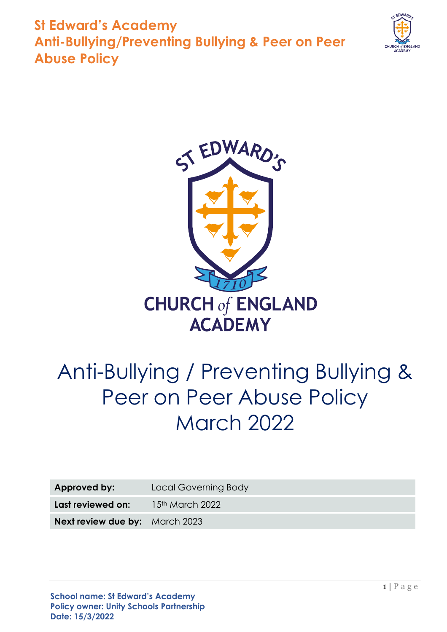



# Anti-Bullying / Preventing Bullying & Peer on Peer Abuse Policy March 2022

| Approved by:                          | Local Governing Body |
|---------------------------------------|----------------------|
| Last reviewed on:                     | $15th$ March 2022    |
| <b>Next review due by:</b> March 2023 |                      |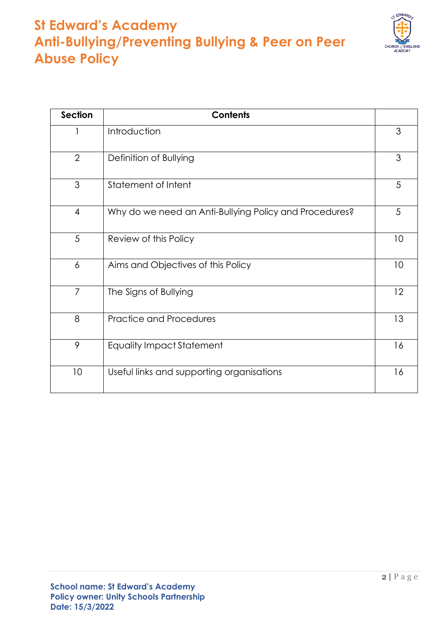

| <b>Section</b>  | <b>Contents</b>                                        |    |
|-----------------|--------------------------------------------------------|----|
|                 | Introduction                                           | 3  |
| $\overline{2}$  | Definition of Bullying                                 |    |
| $\mathfrak{S}$  | Statement of Intent                                    | 5  |
| $\overline{4}$  | Why do we need an Anti-Bullying Policy and Procedures? | 5  |
| 5               | Review of this Policy                                  | 10 |
| $\overline{6}$  | Aims and Objectives of this Policy                     | 10 |
| $\overline{7}$  | The Signs of Bullying                                  | 12 |
| 8               | <b>Practice and Procedures</b>                         | 13 |
| 9               | <b>Equality Impact Statement</b>                       | 16 |
| 10 <sup>°</sup> | Useful links and supporting organisations              | 16 |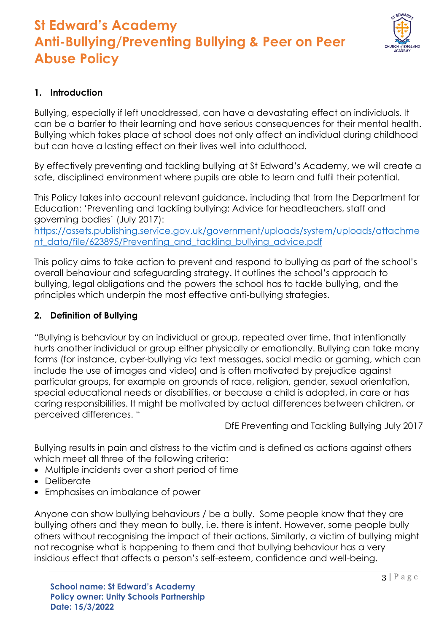

### **1. Introduction**

Bullying, especially if left unaddressed, can have a devastating effect on individuals. It can be a barrier to their learning and have serious consequences for their mental health. Bullying which takes place at school does not only affect an individual during childhood but can have a lasting effect on their lives well into adulthood.

By effectively preventing and tackling bullying at St Edward's Academy, we will create a safe, disciplined environment where pupils are able to learn and fulfil their potential.

This Policy takes into account relevant guidance, including that from the Department for Education: 'Preventing and tackling bullying: Advice for headteachers, staff and governing bodies' (July 2017):

[https://assets.publishing.service.gov.uk/government/uploads/system/uploads/attachme](https://assets.publishing.service.gov.uk/government/uploads/system/uploads/attachment_data/file/623895/Preventing_and_tackling_bullying_advice.pdf) [nt\\_data/file/623895/Preventing\\_and\\_tackling\\_bullying\\_advice.pdf](https://assets.publishing.service.gov.uk/government/uploads/system/uploads/attachment_data/file/623895/Preventing_and_tackling_bullying_advice.pdf)

This policy aims to take action to prevent and respond to bullying as part of the school's overall behaviour and safeguarding strategy. It outlines the school's approach to bullying, legal obligations and the powers the school has to tackle bullying, and the principles which underpin the most effective anti-bullying strategies.

### **2. Definition of Bullying**

"Bullying is behaviour by an individual or group, repeated over time, that intentionally hurts another individual or group either physically or emotionally. Bullying can take many forms (for instance, cyber-bullying via text messages, social media or gaming, which can include the use of images and video) and is often motivated by prejudice against particular groups, for example on grounds of race, religion, gender, sexual orientation, special educational needs or disabilities, or because a child is adopted, in care or has caring responsibilities. It might be motivated by actual differences between children, or perceived differences. "

DfE Preventing and Tackling Bullying July 2017

Bullying results in pain and distress to the victim and is defined as actions against others which meet all three of the following criteria:

- Multiple incidents over a short period of time
- Deliberate
- Emphasises an imbalance of power

Anyone can show bullying behaviours / be a bully. Some people know that they are bullying others and they mean to bully, i.e. there is intent. However, some people bully others without recognising the impact of their actions. Similarly, a victim of bullying might not recognise what is happening to them and that bullying behaviour has a very insidious effect that affects a person's self-esteem, confidence and well-being.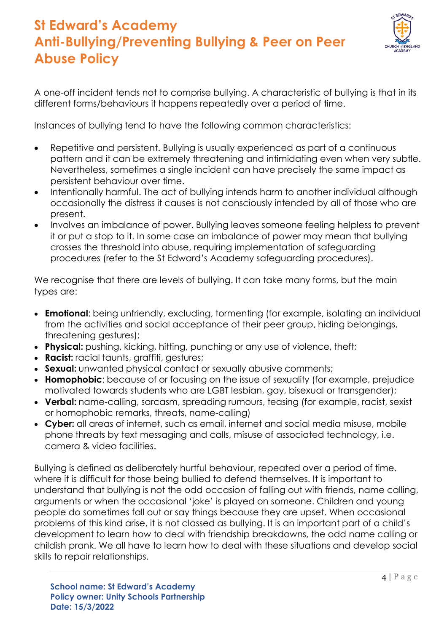

A one-off incident tends not to comprise bullying. A characteristic of bullying is that in its different forms/behaviours it happens repeatedly over a period of time.

Instances of bullying tend to have the following common characteristics:

- Repetitive and persistent. Bullying is usually experienced as part of a continuous pattern and it can be extremely threatening and intimidating even when very subtle. Nevertheless, sometimes a single incident can have precisely the same impact as persistent behaviour over time.
- Intentionally harmful. The act of bullying intends harm to another individual although occasionally the distress it causes is not consciously intended by all of those who are present.
- Involves an imbalance of power. Bullying leaves someone feeling helpless to prevent it or put a stop to it. In some case an imbalance of power may mean that bullying crosses the threshold into abuse, requiring implementation of safeguarding procedures (refer to the St Edward's Academy safeguarding procedures).

We recognise that there are levels of bullying. It can take many forms, but the main types are:

- **Emotional**: being unfriendly, excluding, tormenting (for example, isolating an individual from the activities and social acceptance of their peer group, hiding belongings, threatening gestures);
- **Physical:** pushing, kicking, hitting, punching or any use of violence, theft;
- **Racist:** racial taunts, graffiti, gestures;
- **Sexual:** unwanted physical contact or sexually abusive comments;
- **Homophobic**: because of or focusing on the issue of sexuality (for example, prejudice motivated towards students who are LGBT lesbian, gay, bisexual or transgender);
- **Verbal:** name-calling, sarcasm, spreading rumours, teasing (for example, racist, sexist or homophobic remarks, threats, name-calling)
- **Cyber:** all areas of internet, such as email, internet and social media misuse, mobile phone threats by text messaging and calls, misuse of associated technology, i.e. camera & video facilities.

Bullying is defined as deliberately hurtful behaviour, repeated over a period of time, where it is difficult for those being bullied to defend themselves. It is important to understand that bullying is not the odd occasion of falling out with friends, name calling, arguments or when the occasional 'joke' is played on someone. Children and young people do sometimes fall out or say things because they are upset. When occasional problems of this kind arise, it is not classed as bullying. It is an important part of a child's development to learn how to deal with friendship breakdowns, the odd name calling or childish prank. We all have to learn how to deal with these situations and develop social skills to repair relationships.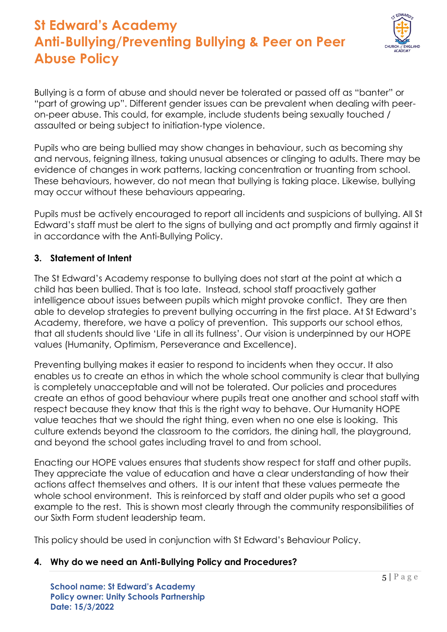

Bullying is a form of abuse and should never be tolerated or passed off as "banter" or "part of growing up". Different gender issues can be prevalent when dealing with peeron-peer abuse. This could, for example, include students being sexually touched / assaulted or being subject to initiation-type violence.

Pupils who are being bullied may show changes in behaviour, such as becoming shy and nervous, feigning illness, taking unusual absences or clinging to adults. There may be evidence of changes in work patterns, lacking concentration or truanting from school. These behaviours, however, do not mean that bullying is taking place. Likewise, bullying may occur without these behaviours appearing.

Pupils must be actively encouraged to report all incidents and suspicions of bullying. All St Edward's staff must be alert to the signs of bullying and act promptly and firmly against it in accordance with the Anti-Bullying Policy.

#### **3. Statement of Intent**

The St Edward's Academy response to bullying does not start at the point at which a child has been bullied. That is too late. Instead, school staff proactively gather intelligence about issues between pupils which might provoke conflict. They are then able to develop strategies to prevent bullying occurring in the first place. At St Edward's Academy, therefore, we have a policy of prevention. This supports our school ethos, that all students should live 'Life in all its fullness'. Our vision is underpinned by our HOPE values (Humanity, Optimism, Perseverance and Excellence).

Preventing bullying makes it easier to respond to incidents when they occur. It also enables us to create an ethos in which the whole school community is clear that bullying is completely unacceptable and will not be tolerated. Our policies and procedures create an ethos of good behaviour where pupils treat one another and school staff with respect because they know that this is the right way to behave. Our Humanity HOPE value teaches that we should the right thing, even when no one else is looking. This culture extends beyond the classroom to the corridors, the dining hall, the playground, and beyond the school gates including travel to and from school.

Enacting our HOPE values ensures that students show respect for staff and other pupils. They appreciate the value of education and have a clear understanding of how their actions affect themselves and others. It is our intent that these values permeate the whole school environment. This is reinforced by staff and older pupils who set a good example to the rest. This is shown most clearly through the community responsibilities of our Sixth Form student leadership team.

This policy should be used in conjunction with St Edward's Behaviour Policy.

#### **4. Why do we need an Anti-Bullying Policy and Procedures?**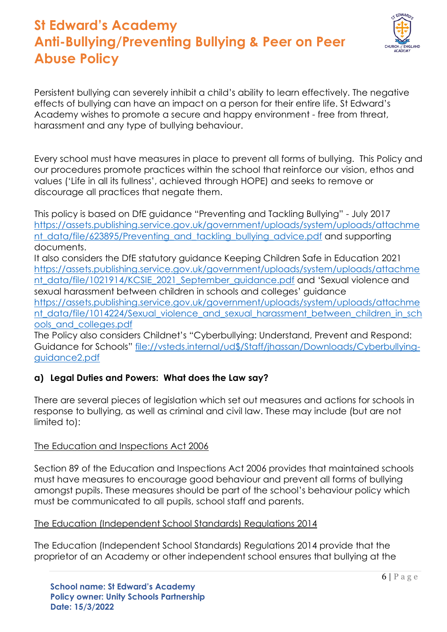

Persistent bullying can severely inhibit a child's ability to learn effectively. The negative effects of bullying can have an impact on a person for their entire life. St Edward's Academy wishes to promote a secure and happy environment - free from threat, harassment and any type of bullying behaviour.

Every school must have measures in place to prevent all forms of bullying. This Policy and our procedures promote practices within the school that reinforce our vision, ethos and values ('Life in all its fullness', achieved through HOPE) and seeks to remove or discourage all practices that negate them.

This policy is based on DfE guidance "Preventing and Tackling Bullying" - July 2017 [https://assets.publishing.service.gov.uk/government/uploads/system/uploads/attachme](https://assets.publishing.service.gov.uk/government/uploads/system/uploads/attachment_data/file/623895/Preventing_and_tackling_bullying_advice.pdf) [nt\\_data/file/623895/Preventing\\_and\\_tackling\\_bullying\\_advice.pdf](https://assets.publishing.service.gov.uk/government/uploads/system/uploads/attachment_data/file/623895/Preventing_and_tackling_bullying_advice.pdf) and supporting documents.

It also considers the DfE statutory guidance Keeping Children Safe in Education 2021 [https://assets.publishing.service.gov.uk/government/uploads/system/uploads/attachme](https://assets.publishing.service.gov.uk/government/uploads/system/uploads/attachment_data/file/1021914/KCSIE_2021_September_guidance.pdf) [nt\\_data/file/1021914/KCSIE\\_2021\\_September\\_guidance.pdf](https://assets.publishing.service.gov.uk/government/uploads/system/uploads/attachment_data/file/1021914/KCSIE_2021_September_guidance.pdf) and 'Sexual violence and sexual harassment between children in schools and colleges' guidance [https://assets.publishing.service.gov.uk/government/uploads/system/uploads/attachme](https://assets.publishing.service.gov.uk/government/uploads/system/uploads/attachment_data/file/1014224/Sexual_violence_and_sexual_harassment_between_children_in_schools_and_colleges.pdf) nt data/file/1014224/Sexual\_violence\_and\_sexual\_harassment\_between\_children\_in\_sch [ools\\_and\\_colleges.pdf](https://assets.publishing.service.gov.uk/government/uploads/system/uploads/attachment_data/file/1014224/Sexual_violence_and_sexual_harassment_between_children_in_schools_and_colleges.pdf)

The Policy also considers Childnet's "Cyberbullying: Understand, Prevent and Respond: Guidance for Schools" [file://vsteds.internal/ud\\$/Staff/jhassan/Downloads/Cyberbullying](file://///vsteds.internal/ud$/Staff/jhassan/Downloads/Cyberbullying-guidance2.pdf)[guidance2.pdf](file://///vsteds.internal/ud$/Staff/jhassan/Downloads/Cyberbullying-guidance2.pdf)

### **a) Legal Duties and Powers: What does the Law say?**

There are several pieces of legislation which set out measures and actions for schools in response to bullying, as well as criminal and civil law. These may include (but are not limited to):

### The Education and Inspections Act 2006

Section 89 of the Education and Inspections Act 2006 provides that maintained schools must have measures to encourage good behaviour and prevent all forms of bullying amongst pupils. These measures should be part of the school's behaviour policy which must be communicated to all pupils, school staff and parents.

### The Education (Independent School Standards) Regulations 2014

The Education (Independent School Standards) Regulations 2014 provide that the proprietor of an Academy or other independent school ensures that bullying at the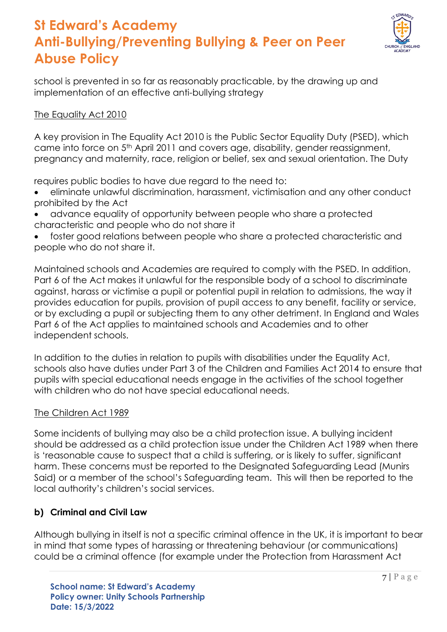

school is prevented in so far as reasonably practicable, by the drawing up and implementation of an effective anti-bullying strategy

### The Equality Act 2010

A key provision in The Equality Act 2010 is the Public Sector Equality Duty (PSED), which came into force on 5th April 2011 and covers age, disability, gender reassignment, pregnancy and maternity, race, religion or belief, sex and sexual orientation. The Duty

requires public bodies to have due regard to the need to:

- eliminate unlawful discrimination, harassment, victimisation and any other conduct prohibited by the Act
- advance equality of opportunity between people who share a protected characteristic and people who do not share it
- foster good relations between people who share a protected characteristic and people who do not share it.

Maintained schools and Academies are required to comply with the PSED. In addition, Part 6 of the Act makes it unlawful for the responsible body of a school to discriminate against, harass or victimise a pupil or potential pupil in relation to admissions, the way it provides education for pupils, provision of pupil access to any benefit, facility or service, or by excluding a pupil or subjecting them to any other detriment. In England and Wales Part 6 of the Act applies to maintained schools and Academies and to other independent schools.

In addition to the duties in relation to pupils with disabilities under the Equality Act, schools also have duties under Part 3 of the Children and Families Act 2014 to ensure that pupils with special educational needs engage in the activities of the school together with children who do not have special educational needs.

### The Children Act 1989

Some incidents of bullying may also be a child protection issue. A bullying incident should be addressed as a child protection issue under the [Children Act 1989](http://www.legislation.gov.uk/ukpga/1989/41/section/47) when there is 'reasonable cause to suspect that a child is suffering, or is likely to suffer, significant harm. These concerns must be reported to the Designated Safeguarding Lead (Munirs Said) or a member of the school's Safeguarding team. This will then be reported to the local authority's children's social services.

### **b) Criminal and Civil Law**

Although bullying in itself is not a specific criminal offence in the UK, it is important to bear in mind that some types of harassing or threatening behaviour (or communications) could be a criminal offence (for example under the Protection from Harassment Act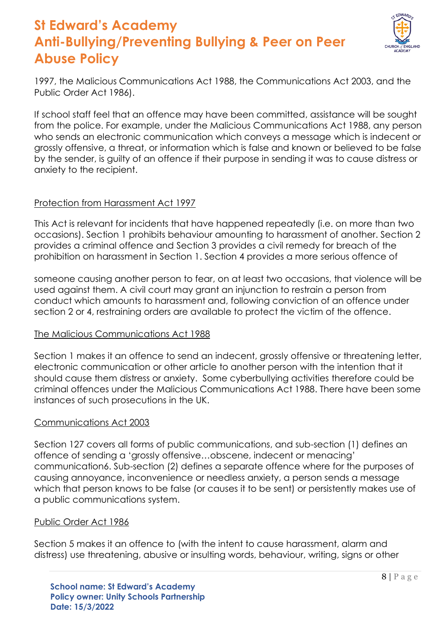

1997, the Malicious Communications Act 1988, the Communications Act 2003, and the Public Order Act 1986).

If school staff feel that an offence may have been committed, assistance will be sought from the police. For example, under the Malicious Communications Act 1988, any person who sends an electronic communication which conveys a message which is indecent or grossly offensive, a threat, or information which is false and known or believed to be false by the sender, is guilty of an offence if their purpose in sending it was to cause distress or anxiety to the recipient.

#### Protection from Harassment Act 1997

This Act is relevant for incidents that have happened repeatedly (i.e. on more than two occasions). Section 1 prohibits behaviour amounting to harassment of another. Section 2 provides a criminal offence and Section 3 provides a civil remedy for breach of the prohibition on harassment in Section 1. Section 4 provides a more serious offence of

someone causing another person to fear, on at least two occasions, that violence will be used against them. A civil court may grant an injunction to restrain a person from conduct which amounts to harassment and, following conviction of an offence under section 2 or 4, restraining orders are available to protect the victim of the offence.

### The Malicious Communications Act 1988

Section 1 makes it an offence to send an indecent, grossly offensive or threatening letter, electronic communication or other article to another person with the intention that it should cause them distress or anxiety. Some cyberbullying activities therefore could be criminal offences under the [Malicious Communications Act 1988.](http://www.legislation.gov.uk/ukpga/1988/27/section/1) There have been some instances of such prosecutions in the UK.

### Communications Act 2003

Section 127 covers all forms of public communications, and sub-section (1) defines an offence of sending a 'grossly offensive…obscene, indecent or menacing' communication6. Sub-section (2) defines a separate offence where for the purposes of causing annoyance, inconvenience or needless anxiety, a person sends a message which that person knows to be false (or causes it to be sent) or persistently makes use of a public communications system.

#### Public Order Act 1986

Section 5 makes it an offence to (with the intent to cause harassment, alarm and distress) use threatening, abusive or insulting words, behaviour, writing, signs or other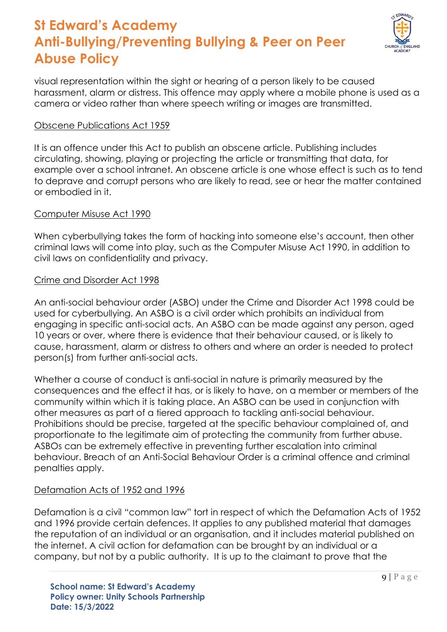

visual representation within the sight or hearing of a person likely to be caused harassment, alarm or distress. This offence may apply where a mobile phone is used as a camera or video rather than where speech writing or images are transmitted.

#### Obscene Publications Act 1959

It is an offence under this Act to publish an obscene article. Publishing includes circulating, showing, playing or projecting the article or transmitting that data, for example over a school intranet. An obscene article is one whose effect is such as to tend to deprave and corrupt persons who are likely to read, see or hear the matter contained or embodied in it.

#### Computer Misuse Act 1990

When cyberbullying takes the form of hacking into someone else's account, then other criminal laws will come into play, such as the Computer Misuse Act 1990, in addition to civil laws on confidentiality and privacy.

#### Crime and Disorder Act 1998

An anti-social behaviour order (ASBO) under the Crime and Disorder Act 1998 could be used for cyberbullying. An ASBO is a civil order which prohibits an individual from engaging in specific anti-social acts. An ASBO can be made against any person, aged 10 years or over, where there is evidence that their behaviour caused, or is likely to cause, harassment, alarm or distress to others and where an order is needed to protect person(s) from further anti-social acts.

Whether a course of conduct is anti-social in nature is primarily measured by the consequences and the effect it has, or is likely to have, on a member or members of the community within which it is taking place. An ASBO can be used in conjunction with other measures as part of a tiered approach to tackling anti-social behaviour. Prohibitions should be precise, targeted at the specific behaviour complained of, and proportionate to the legitimate aim of protecting the community from further abuse. ASBOs can be extremely effective in preventing further escalation into criminal behaviour. Breach of an Anti-Social Behaviour Order is a criminal offence and criminal penalties apply.

#### Defamation Acts of 1952 and 1996

Defamation is a civil "common law" tort in respect of which the Defamation Acts of 1952 and 1996 provide certain defences. It applies to any published material that damages the reputation of an individual or an organisation, and it includes material published on the internet. A civil action for defamation can be brought by an individual or a company, but not by a public authority. It is up to the claimant to prove that the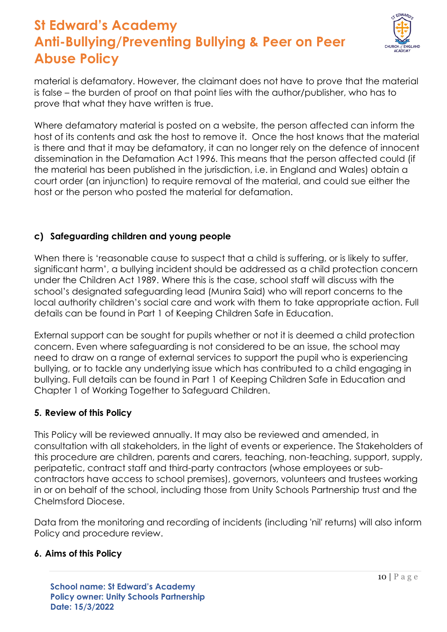

material is defamatory. However, the claimant does not have to prove that the material is false – the burden of proof on that point lies with the author/publisher, who has to prove that what they have written is true.

Where defamatory material is posted on a website, the person affected can inform the host of its contents and ask the host to remove it. Once the host knows that the material is there and that it may be defamatory, it can no longer rely on the defence of innocent dissemination in the Defamation Act 1996. This means that the person affected could (if the material has been published in the jurisdiction, i.e. in England and Wales) obtain a court order (an injunction) to require removal of the material, and could sue either the host or the person who posted the material for defamation.

### **c) Safeguarding children and young people**

When there is 'reasonable cause to suspect that a child is suffering, or is likely to suffer, significant harm', a bullying incident should be addressed as a child protection concern under the Children Act 1989. Where this is the case, school staff will discuss with the school's designated safeguarding lead (Munira Said) who will report concerns to the local authority children's social care and work with them to take appropriate action. Full details can be found in Part 1 of Keeping Children Safe in Education.

External support can be sought for pupils whether or not it is deemed a child protection concern. Even where safeguarding is not considered to be an issue, the school may need to draw on a range of external services to support the pupil who is experiencing bullying, or to tackle any underlying issue which has contributed to a child engaging in bullying. Full details can be found in Part 1 of Keeping Children Safe in Education and Chapter 1 of Working Together to Safeguard Children.

#### **5. Review of this Policy**

This Policy will be reviewed annually. It may also be reviewed and amended, in consultation with all stakeholders, in the light of events or experience. The Stakeholders of this procedure are children, parents and carers, teaching, non-teaching, support, supply, peripatetic, contract staff and third-party contractors (whose employees or subcontractors have access to school premises), governors, volunteers and trustees working in or on behalf of the school, including those from Unity Schools Partnership trust and the Chelmsford Diocese.

Data from the monitoring and recording of incidents (including 'nil' returns) will also inform Policy and procedure review.

#### **6. Aims of this Policy**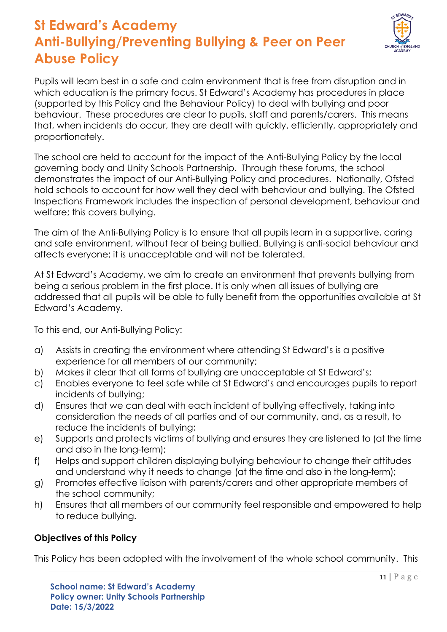

Pupils will learn best in a safe and calm environment that is free from disruption and in which education is the primary focus. St Edward's Academy has procedures in place (supported by this Policy and the Behaviour Policy) to deal with bullying and poor behaviour. These procedures are clear to pupils, staff and parents/carers. This means that, when incidents do occur, they are dealt with quickly, efficiently, appropriately and proportionately.

The school are held to account for the impact of the Anti-Bullying Policy by the local governing body and Unity Schools Partnership. Through these forums, the school demonstrates the impact of our Anti-Bullying Policy and procedures. Nationally, Ofsted hold schools to account for how well they deal with behaviour and bullying. The Ofsted Inspections Framework includes the inspection of personal development, behaviour and welfare; this covers bullying.

The aim of the Anti-Bullying Policy is to ensure that all pupils learn in a supportive, caring and safe environment, without fear of being bullied. Bullying is anti-social behaviour and affects everyone; it is unacceptable and will not be tolerated.

At St Edward's Academy, we aim to create an environment that prevents bullying from being a serious problem in the first place. It is only when all issues of bullying are addressed that all pupils will be able to fully benefit from the opportunities available at St Edward's Academy.

To this end, our Anti-Bullying Policy:

- a) Assists in creating the environment where attending St Edward's is a positive experience for all members of our community;
- b) Makes it clear that all forms of bullying are unacceptable at St Edward's;
- c) Enables everyone to feel safe while at St Edward's and encourages pupils to report incidents of bullying;
- d) Ensures that we can deal with each incident of bullying effectively, taking into consideration the needs of all parties and of our community, and, as a result, to reduce the incidents of bullying;
- e) Supports and protects victims of bullying and ensures they are listened to (at the time and also in the long-term);
- f) Helps and support children displaying bullying behaviour to change their attitudes and understand why it needs to change (at the time and also in the long-term);
- g) Promotes effective liaison with parents/carers and other appropriate members of the school community;
- h) Ensures that all members of our community feel responsible and empowered to help to reduce bullying.

### **Objectives of this Policy**

This Policy has been adopted with the involvement of the whole school community. This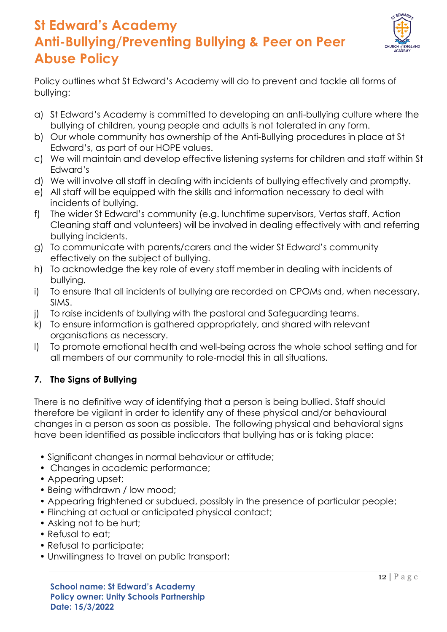

Policy outlines what St Edward's Academy will do to prevent and tackle all forms of bullying:

- a) St Edward's Academy is committed to developing an anti-bullying culture where the bullying of children, young people and adults is not tolerated in any form.
- b) Our whole community has ownership of the Anti-Bullying procedures in place at St Edward's, as part of our HOPE values.
- c) We will maintain and develop effective listening systems for children and staff within St Edward's
- d) We will involve all staff in dealing with incidents of bullying effectively and promptly.
- e) All staff will be equipped with the skills and information necessary to deal with incidents of bullying.
- f) The wider St Edward's community (e.g. lunchtime supervisors, Vertas staff, Action Cleaning staff and volunteers) will be involved in dealing effectively with and referring bullying incidents.
- g) To communicate with parents/carers and the wider St Edward's community effectively on the subject of bullying.
- h) To acknowledge the key role of every staff member in dealing with incidents of bullying.
- i) To ensure that all incidents of bullying are recorded on CPOMs and, when necessary, SIMS.
- j) To raise incidents of bullying with the pastoral and Safeguarding teams.
- k) To ensure information is gathered appropriately, and shared with relevant organisations as necessary.
- l) To promote emotional health and well-being across the whole school setting and for all members of our community to role-model this in all situations.

### **7. The Signs of Bullying**

There is no definitive way of identifying that a person is being bullied. Staff should therefore be vigilant in order to identify any of these physical and/or behavioural changes in a person as soon as possible. The following physical and behavioral signs have been identified as possible indicators that bullying has or is taking place:

- Significant changes in normal behaviour or attitude;
- Changes in academic performance;
- Appearing upset;
- Being withdrawn / low mood;
- Appearing frightened or subdued, possibly in the presence of particular people;
- Flinching at actual or anticipated physical contact;
- Asking not to be hurt;
- Refusal to eat;
- Refusal to participate;
- Unwillingness to travel on public transport;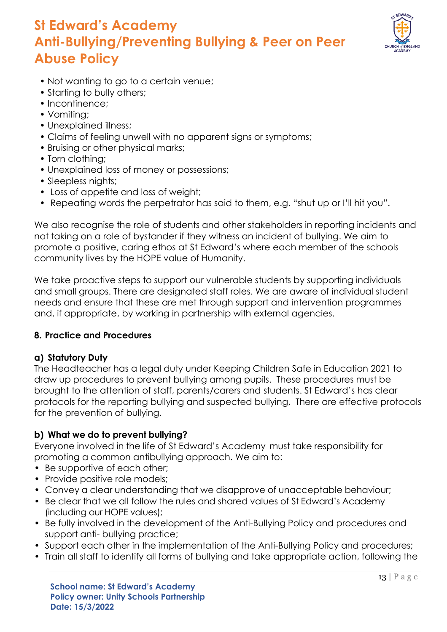

- Not wanting to go to a certain venue;
- Starting to bully others;
- Incontinence:
- Vomiting;
- Unexplained illness;
- Claims of feeling unwell with no apparent signs or symptoms;
- Bruising or other physical marks;
- Torn clothing;
- Unexplained loss of money or possessions;
- Sleepless nights;
- Loss of appetite and loss of weight;
- Repeating words the perpetrator has said to them, e.g. "shut up or I'll hit you".

We also recognise the role of students and other stakeholders in reporting incidents and not taking on a role of bystander if they witness an incident of bullying. We aim to promote a positive, caring ethos at St Edward's where each member of the schools community lives by the HOPE value of Humanity.

We take proactive steps to support our vulnerable students by supporting individuals and small groups. There are designated staff roles. We are aware of individual student needs and ensure that these are met through support and intervention programmes and, if appropriate, by working in partnership with external agencies.

### **8. Practice and Procedures**

### **a) Statutory Duty**

The Headteacher has a legal duty under Keeping Children Safe in Education 2021 to draw up procedures to prevent bullying among pupils. These procedures must be brought to the attention of staff, parents/carers and students. St Edward's has clear protocols for the reporting bullying and suspected bullying, There are effective protocols for the prevention of bullying.

### **b) What we do to prevent bullying?**

Everyone involved in the life of St Edward's Academy must take responsibility for promoting a common antibullying approach. We aim to:

- Be supportive of each other;
- Provide positive role models;
- Convey a clear understanding that we disapprove of unacceptable behaviour;
- Be clear that we all follow the rules and shared values of St Edward's Academy (including our HOPE values);
- Be fully involved in the development of the Anti-Bullying Policy and procedures and support anti- bullying practice;
- Support each other in the implementation of the Anti-Bullying Policy and procedures;
- Train all staff to identify all forms of bullying and take appropriate action, following the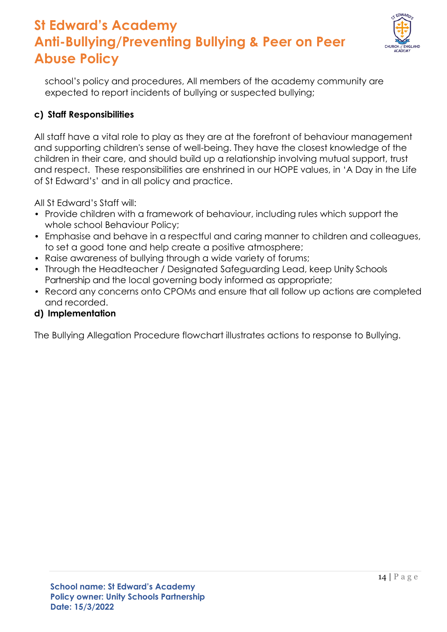

school's policy and procedures, All members of the academy community are expected to report incidents of bullying or suspected bullying;

### **c) Staff Responsibilities**

All staff have a vital role to play as they are at the forefront of behaviour management and supporting children's sense of well-being. They have the closest knowledge of the children in their care, and should build up a relationship involving mutual support, trust and respect. These responsibilities are enshrined in our HOPE values, in 'A Day in the Life of St Edward's' and in all policy and practice.

All St Edward's Staff will:

- Provide children with a framework of behaviour, including rules which support the whole school Behaviour Policy;
- Emphasise and behave in a respectful and caring manner to children and colleagues, to set a good tone and help create a positive atmosphere;
- Raise awareness of bullying through a wide variety of forums;
- Through the Headteacher / Designated Safeguarding Lead, keep Unity Schools Partnership and the local governing body informed as appropriate;
- Record any concerns onto CPOMs and ensure that all follow up actions are completed and recorded.

#### **d) Implementation**

The Bullying Allegation Procedure flowchart illustrates actions to response to Bullying.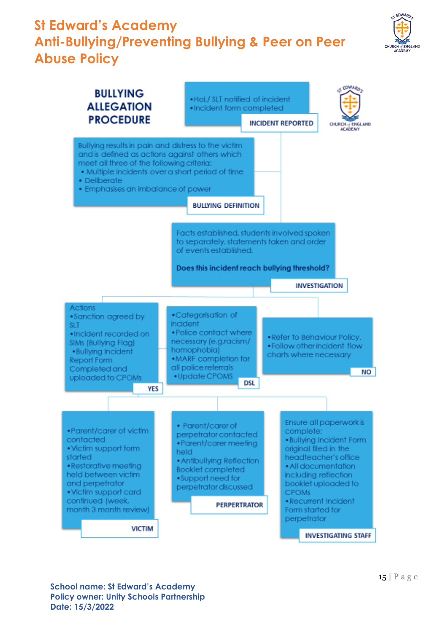

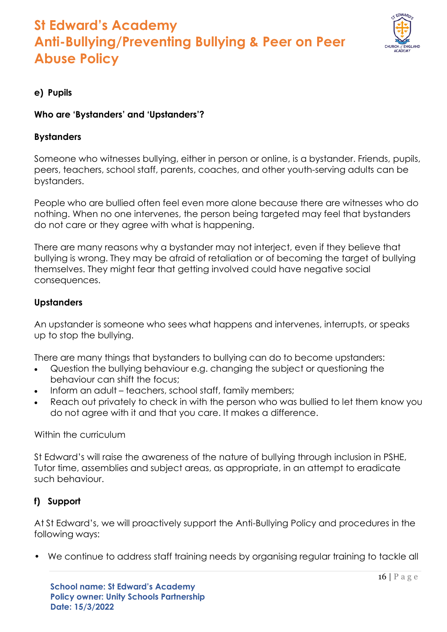

### **e) Pupils**

#### **Who are 'Bystanders' and 'Upstanders'?**

#### **Bystanders**

Someone who witnesses bullying, either in person or online, is a bystander. Friends, pupils, peers, teachers, school staff, parents, coaches, and other youth-serving adults can be bystanders.

People who are bullied often feel even more alone because there are witnesses who do nothing. When no one intervenes, the person being targeted may feel that bystanders do not care or they agree with what is happening.

There are many reasons why a bystander may not interject, even if they believe that bullying is wrong. They may be afraid of retaliation or of becoming the target of bullying themselves. They might fear that getting involved could have negative social consequences.

#### **Upstanders**

An upstander is someone who sees what happens and intervenes, interrupts, or speaks up to stop the bullying.

There are many things that bystanders to bullying can do to become upstanders:

- Question the bullying behaviour e.g. changing the subject or questioning the behaviour can shift the focus;
- Inform an adult teachers, school staff, family members;
- Reach out privately to check in with the person who was bullied to let them know you do not agree with it and that you care. It makes a difference.

#### Within the curriculum

St Edward's will raise the awareness of the nature of bullying through inclusion in PSHE, Tutor time, assemblies and subject areas, as appropriate, in an attempt to eradicate such behaviour.

#### **f) Support**

At St Edward's, we will proactively support the Anti-Bullying Policy and procedures in the following ways:

• We continue to address staff training needs by organising regular training to tackle all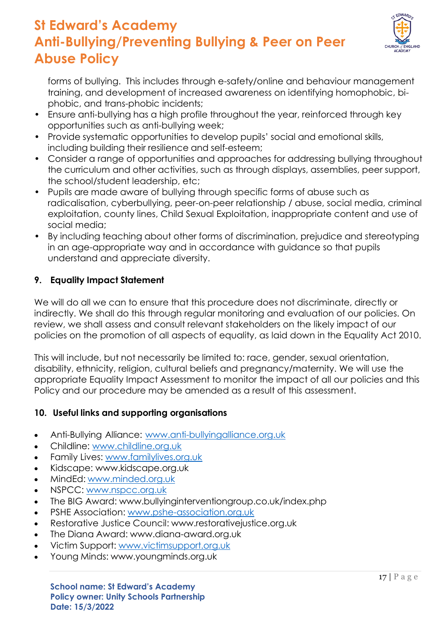

forms of bullying. This includes through e-safety/online and behaviour management training, and development of increased awareness on identifying homophobic, biphobic, and trans-phobic incidents;

- Ensure anti-bullying has a high profile throughout the year, reinforced through key opportunities such as anti-bullying week;
- Provide systematic opportunities to develop pupils' social and emotional skills, including building their resilience and self-esteem;
- Consider a range of opportunities and approaches for addressing bullying throughout the curriculum and other activities, such as through displays, assemblies, peer support, the school/student leadership, etc;
- Pupils are made aware of bullying through specific forms of abuse such as radicalisation, cyberbullying, peer-on-peer relationship / abuse, social media, criminal exploitation, county lines, Child Sexual Exploitation, inappropriate content and use of social media;
- By including teaching about other forms of discrimination, prejudice and stereotyping in an age-appropriate way and in accordance with guidance so that pupils understand and appreciate diversity.

### **9. Equality Impact Statement**

We will do all we can to ensure that this procedure does not discriminate, directly or indirectly. We shall do this through regular monitoring and evaluation of our policies. On review, we shall assess and consult relevant stakeholders on the likely impact of our policies on the promotion of all aspects of equality, as laid down in the Equality Act 2010.

This will include, but not necessarily be limited to: race, gender, sexual orientation, disability, ethnicity, religion, cultural beliefs and pregnancy/maternity. We will use the appropriate Equality Impact Assessment to monitor the impact of all our policies and this Policy and our procedure may be amended as a result of this assessment.

### **10. Useful links and supporting organisations**

- Anti-Bullying Alliance: [www.anti-bullyingalliance.org.uk](http://www.anti-bullyingalliance.org.uk/)
- Childline: [www.childline.org.uk](http://www.childline.org.uk/)
- Family Lives: [www.familylives.org.uk](http://www.familylives.org.uk/)
- Kidscape: [www.kidscape.org.uk](http://www.kidscape.org.uk/)
- MindEd: [www.minded.org.uk](http://www.minded.org.uk/)
- NSPCC: [www.nspcc.org.uk](http://www.nspcc.org.uk/)
- The BIG Award: [www.bullyinginterventiongroup.co.uk/index.php](http://www.bullyinginterventiongroup.co.uk/index.php)
- PSHE Association: [www.pshe-association.org.uk](http://www.pshe-association.org.uk/)
- Restorative Justice Council: [www.restorativejustice.org.uk](http://www.restorativejustice.org.uk/)
- The Diana Award: [www.diana-award.org.uk](http://www.diana-award.org.uk/)
- Victim Support: [www.victimsupport.org.uk](http://www.victimsupport.org.uk/)
- Young Minds: [www.youngminds.org.uk](http://www.youngminds.org.uk/)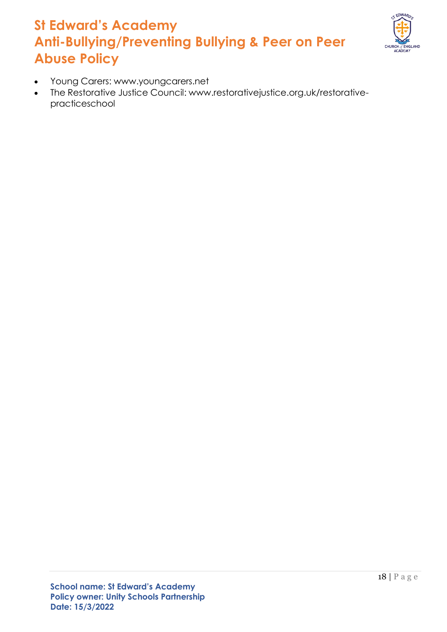

- Young Carers: [www.youngcarers.net](http://www.youngcarers.net/)
- The Restorative Justice Council: [www.restorativejustice.org.uk/restorative](http://www.restorativejustice.org.uk/restorative-)practiceschool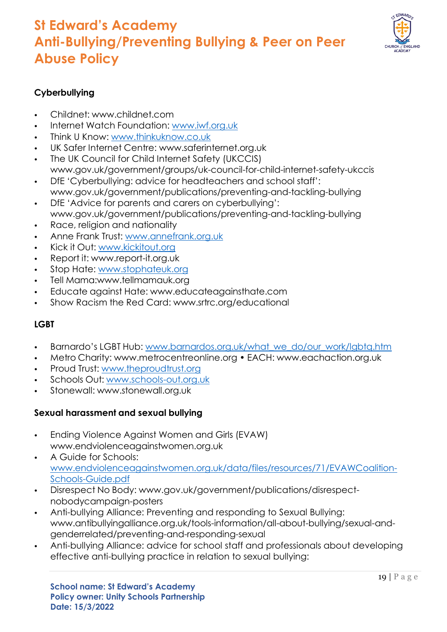

### **Cyberbullying**

- Childnet: [www.childnet.com](http://www.childnet.com/)
- Internet Watch Foundation: [www.iwf.org.uk](http://www.iwf.org.uk/)
- Think U Know: [www.thinkuknow.co.uk](http://www.thinkuknow.co.uk/)
- UK Safer Internet Centre: [www.saferinternet.org.uk](http://www.saferinternet.org.uk/)
- The UK Council for Child Internet Safety (UKCCIS) [www.gov.uk/government/groups/uk-council-for-child-internet-safety-ukccis](http://www.gov.uk/government/groups/uk-council-for-child-internet-safety-ukccis)
- DfE 'Cyberbullying: advice for headteachers and school staff': [www.gov.uk/government/publications/preventing-and-tackling-bullying](http://www.gov.uk/government/publications/preventing-and-tackling-bullying)
- DfE 'Advice for parents and carers on cyberbullying': [www.gov.uk/government/publications/preventing-and-tackling-bullying](http://www.gov.uk/government/publications/preventing-and-tackling-bullying)
- Race, religion and nationality
- Anne Frank Trust: [www.annefrank.org.uk](http://www.annefrank.org.uk/)
- Kick it Out: [www.kickitout.org](http://www.kickitout.org/)
- Report it: [www.report-it.org.uk](http://www.report-it.org.uk/)
- Stop Hate: [www.stophateuk.org](http://www.stophateuk.org/)
- Tell Mama[:www.tellmamauk.org](http://www.tellmamauk.org/)
- Educate against Hate: [www.educateagainsthate.com](http://www.educateagainsthate.com/)
- Show Racism the Red Card: [www.srtrc.org/educational](http://www.srtrc.org/educational)

### **LGBT**

- Barnardo's LGBT Hub: [www.barnardos.org.uk/what\\_we\\_do/our\\_work/lgbtq.htm](http://www.barnardos.org.uk/what_we_do/our_work/lgbtq.htm)
- Metro Charity: [www.metrocentreonline.org](http://www.metrocentreonline.org/) EACH: [www.eachaction.org.uk](http://www.eachaction.org.uk/)
- Proud Trust: [www.theproudtrust.org](http://www.theproudtrust.org/)
- Schools Out: [www.schools-out.org.uk](http://www.schools-out.org.uk/)
- Stonewall: [www.stonewall.org.uk](http://www.stonewall.org.uk/)

### **Sexual harassment and sexual bullying**

- Ending Violence Against Women and Girls (EVAW) [www.endviolenceagainstwomen.org.uk](http://www.endviolenceagainstwomen.org.uk/)
- A Guide for Schools: [www.endviolenceagainstwomen.org.uk/data/files/resources/71/EVAWCoalition-](http://www.endviolenceagainstwomen.org.uk/data/files/resources/71/EVAWCoalition-Schools-Guide.pdf)[Schools-Guide.pdf](http://www.endviolenceagainstwomen.org.uk/data/files/resources/71/EVAWCoalition-Schools-Guide.pdf)
- Disrespect No Body: [www.gov.uk/government/publications/disrespect](http://www.gov.uk/government/publications/disrespect-)nobodycampaign-posters
- Anti-bullying Alliance: Preventing and responding to Sexual Bullying: [www.antibullyingalliance.org.uk/tools-information/all-about-bullying/sexual-and](http://www.antibullyingalliance.org.uk/tools-information/all-about-bullying/sexual-and-)genderrelated/preventing-and-responding-sexual
- Anti-bullying Alliance: advice for school staff and professionals about developing effective anti-bullying practice in relation to sexual bullying: